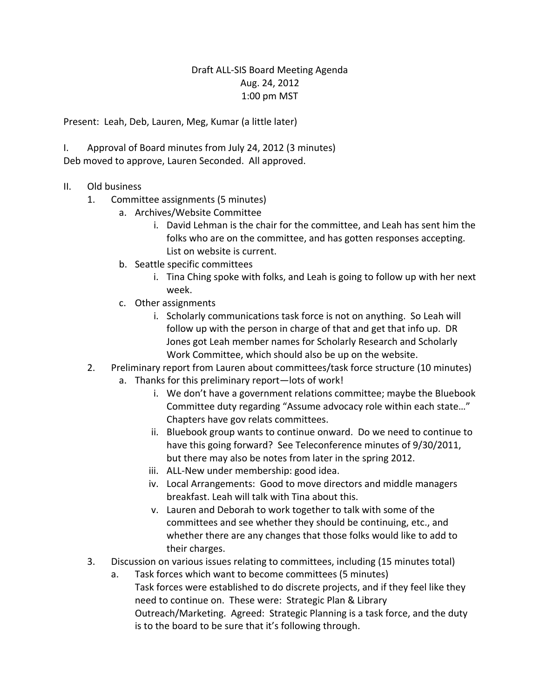## Draft ALL-SIS Board Meeting Agenda Aug. 24, 2012 1:00 pm MST

Present: Leah, Deb, Lauren, Meg, Kumar (a little later)

I. Approval of Board minutes from July 24, 2012 (3 minutes) Deb moved to approve, Lauren Seconded. All approved.

- II. Old business
	- 1. Committee assignments (5 minutes)
		- a. Archives/Website Committee
			- i. David Lehman is the chair for the committee, and Leah has sent him the folks who are on the committee, and has gotten responses accepting. List on website is current.
		- b. Seattle specific committees
			- i. Tina Ching spoke with folks, and Leah is going to follow up with her next week.
		- c. Other assignments
			- i. Scholarly communications task force is not on anything. So Leah will follow up with the person in charge of that and get that info up. DR Jones got Leah member names for Scholarly Research and Scholarly Work Committee, which should also be up on the website.
	- 2. Preliminary report from Lauren about committees/task force structure (10 minutes)
		- a. Thanks for this preliminary report—lots of work!
			- i. We don't have a government relations committee; maybe the Bluebook Committee duty regarding "Assume advocacy role within each state…" Chapters have gov relats committees.
			- ii. Bluebook group wants to continue onward. Do we need to continue to have this going forward? See Teleconference minutes of 9/30/2011, but there may also be notes from later in the spring 2012.
			- iii. ALL-New under membership: good idea.
			- iv. Local Arrangements: Good to move directors and middle managers breakfast. Leah will talk with Tina about this.
			- v. Lauren and Deborah to work together to talk with some of the committees and see whether they should be continuing, etc., and whether there are any changes that those folks would like to add to their charges.
	- 3. Discussion on various issues relating to committees, including (15 minutes total)
		- a. Task forces which want to become committees (5 minutes) Task forces were established to do discrete projects, and if they feel like they need to continue on. These were: Strategic Plan & Library Outreach/Marketing. Agreed: Strategic Planning is a task force, and the duty is to the board to be sure that it's following through.